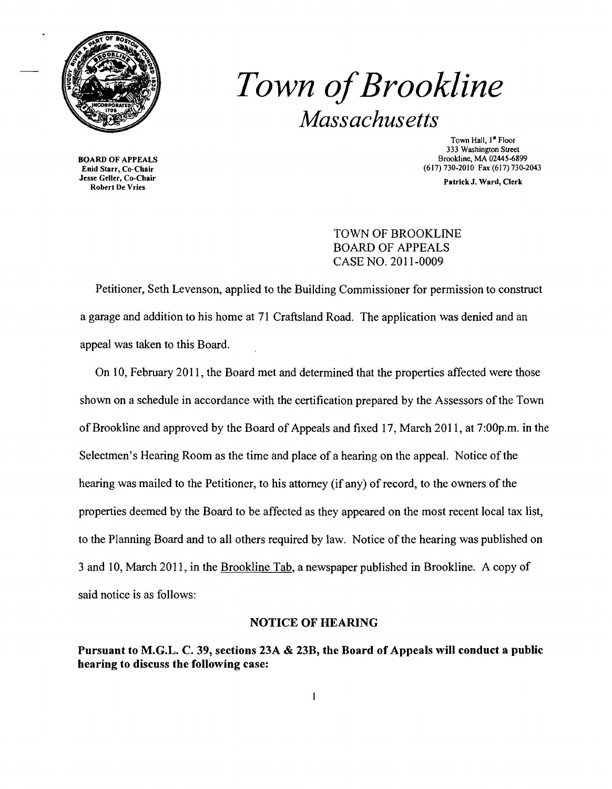

# **Town of Brookline** *Massachusetts*

BOARD OF APPEALS<br>Enid Starr, Co-Chair Jesse Geller, Co-Chair Se Gener, Co-Chair<br>Robert De Vries Patrick J. Ward, Clerk

Town Hall. 1<sup>st</sup> Floor 333 Washington Street<br>Brookline, MA 02445-6899 (617) 730-2010 Fax (617) 730-2043

## TOWN OF BROOKLINE BOARD OF APPEALS CASE NO. 2011-0009

Petitioner, Seth Levenson, applied to the Building Commissioner for permission to construct a garage and addition to his home at 71 Craftsland Road. The application was denied and an appeal was taken to this Board.

On 10, February 2011, the Board met and determined that the properties affected were those shown on a schedule in accordance with the certification prepared by the Assessors of the Town of Brookline and approved by the Board of Appeals and fixed 17, March 2011, at 7:OOp.m. in the Selectmen's Hearing Room as the time and place of a hearing on the appeal. Notice of the hearing was mailed to the Petitioner, to his attorney (if any) of record, to the owners of the properties deemed by the Board to be affected as they appeared on the most recent local tax list, to the Planning Board and to all others required by law. Notice of the hearing was published on 3 and 10, March 2011, in the Brookline Tab, a newspaper published in Brookline. A copy of said notice is as follows:

### NOTICE OF HEARING

Pursuant to M.G.L. C. 39, sections 23A & 23B, the Board of Appeals will conduct a public hearing to discuss the following case: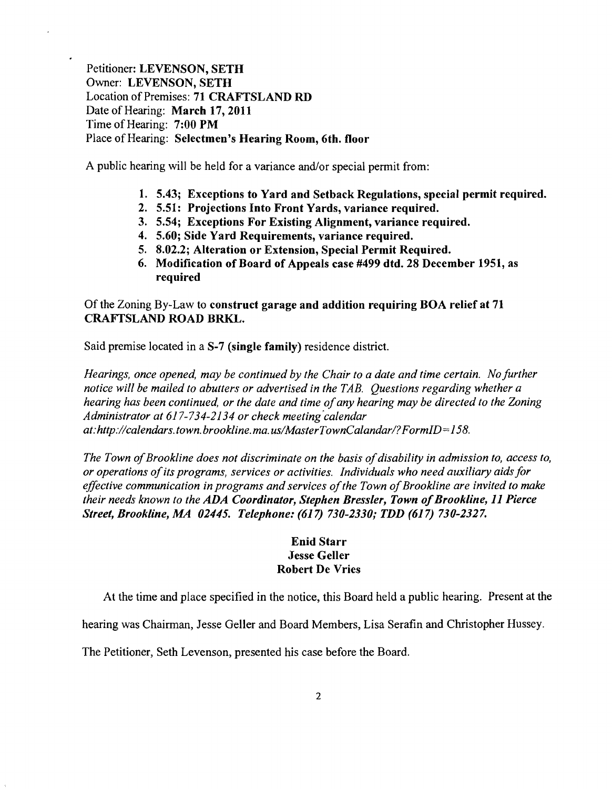Petitioner: LEVENSON, SETH Owner: LEVENSON, SETH Location of Premises: 71 CRAFTSLAND RD Date of Hearing: March 17,2011 Time of Hearing: 7:00 PM Place of Hearing: Selectmen's Hearing Room, 6th. floor

A public hearing will be held for a variance and/or special permit from:

- 1. 5.43; Exceptions to Yard and Setback Regulations, special permit required.
- 2. 5.51: Projections Into Front Yards, variance required.
- 3. 5.54; Exceptions For Existing Alignment, variance required.
- 4. 5.60; Side Yard Requirements, variance required.
- 5. 8.02.2; Alteration or Extension, Special Permit Required.
- 6. Modification of Board of Appeals case #499 dtd. 28 December 1951, as required

## Of the Zoning By-Law to construct garage and addition requiring BOA relief at 71 CRAFTSLAND ROAD BRKL.

Said premise located in a S-7 (single family) residence district.

*Hearings, once opened, may be continued by the Chair to a date and time certain. No further notice will be mailed to abutters or advertised in the TAB. Questions regarding whether a hearing has been continued, or the date and time ofany hearing may be directed to the Zoning Administrator at* 617-734-2134 *or check meeting"calendar at:http://calendars.town.brookline.ma.usIMasterTownCalandarl?FormID= 158.* 

*The Town of Brookline does not discriminate on the basis of disability in admission to, access to, or operations ofits programs, services or activities. Individuals who need auxiliary aidsfor*  effective communication in programs and services of the Town of Brookline are invited to make *their needs known to the ADA Coordinator, Stephen Bressler, Town of Brookline, 11 Pierce Street, Brookline, MA 02445. Telephone:* (617) *730-2330; TDD* (617) *730-2327.* 

## Enid Starr Jesse Geller Robert De Vries

At the time and place specified in the notice, this Board held a public hearing. Present at the

hearing was Chairman, Jesse Geller and Board Members, Lisa Serafin and Christopher Hussey.

The Petitioner, Seth Levenson, presented his case before the Board.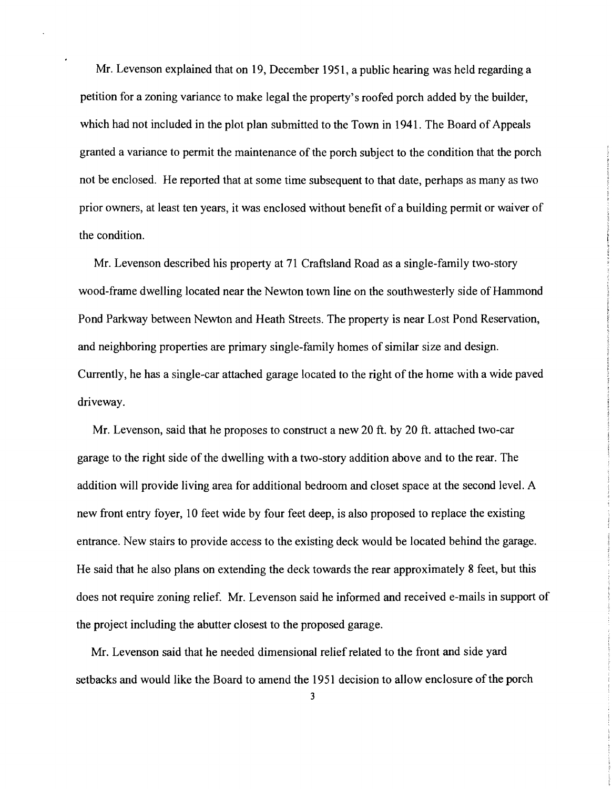Mr. Levenson explained that on 19, December 1951, a public hearing was held regarding a petition for a zoning variance to make legal the property's roofed porch added by the builder, which had not included in the plot plan submitted to the Town in 1941. The Board of Appeals granted a variance to permit the maintenance of the porch subject to the condition that the porch not be enclosed. He reported that at some time subsequent to that date, perhaps as many as two prior owners, at least ten years, it was enclosed without benefit of a building permit or waiver of the condition.

Mr. Levenson described his property at 71 Craftsland Road as a single-family two-story wood-frame dwelling located near the Newton town line on the southwesterly side of Hammond Pond Parkway between Newton and Heath Streets. The property is near Lost Pond Reservation, and neighboring properties are primary single-family homes of similar size and design. Currently, he has a single-car attached garage located to the right of the home with a wide paved driveway.

Mr. Levenson, said that he proposes to construct a new 20 ft. by 20 ft. attached two-car garage to the right side of the dwelling with a two-story addition above and to the rear. The addition will provide living area for additional bedroom and closet space at the second level. A new front entry foyer, 10 feet wide by four feet deep, is also proposed to replace the existing entrance. New stairs to provide access to the existing deck would be located behind the garage. He said that he also plans on extending the deck towards the rear approximately 8 feet, but this does not require zoning relief. Mr. Levenson said he informed and received e-mails in support of the project including the abutter closest to the proposed garage.

Mr. Levenson said that he needed dimensional relief related to the front and side yard setbacks and would like the Board to amend the 1951 decision to allow enclosure of the porch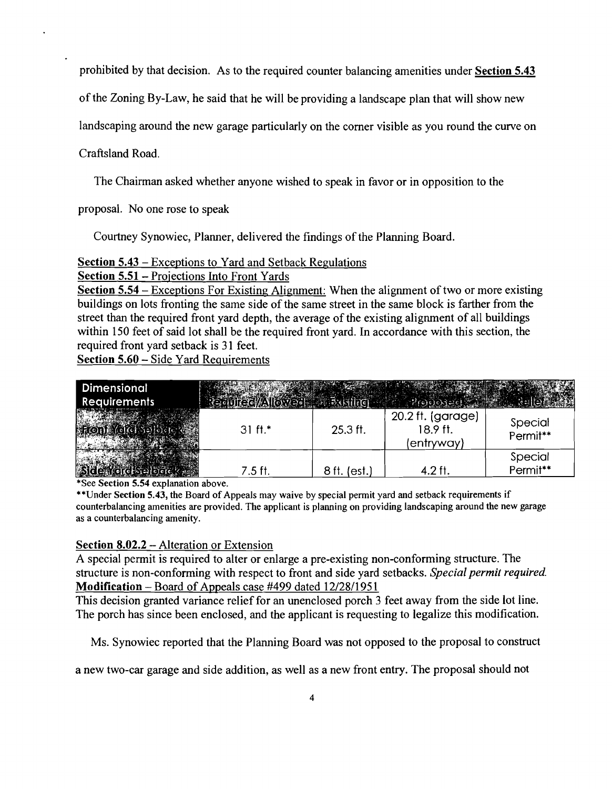prohibited by that decision. As to the required counter balancing amenities under Section 5.43

of the Zoning By-Law, he said that he will be providing a landscape plan that will show new

landscaping around the new garage particularly on the comer visible as you round the curve on

Craftsland Road.

The Chairman asked whether anyone wished to speak in favor or in opposition to the

proposal. No one rose to speak

Courtney Synowiec, Planner, delivered the findings of the Planning Board.

#### Section 5.43 - Exceptions to Yard and Setback Regulations

Section 5.51- Projections Into Front Yards

Section 5.54 – Exceptions For Existing Alignment: When the alignment of two or more existing buildings on lots fronting the same side of the same street in the same block is farther from the street than the required front yard depth, the average of the existing alignment of all buildings within 150 feet of said lot shall be the required front yard. In accordance with this section, the required front yard setback is 31 feet.

Section 5.60 - Side Yard Requirements

| Dimensional<br><b>Requirements</b> |           |              |                                             |                     |
|------------------------------------|-----------|--------------|---------------------------------------------|---------------------|
|                                    | $31 ft.*$ | $25.3$ ft.   | 20.2 ft. (garage)<br>18.9 ft.<br>(entryway) | Special<br>Permit** |
|                                    | $7.5$ ft. | 8 ft. (est.) | 4.2 ft.                                     | Special<br>Permit** |

\*See Section 5.54 explanation above.

\*\*Under Section 5.43, the Board of Appeals may waive by special permit yard and setback requirements if counterbalancing amenities are provided. The applicant is planning on providing landscaping around the new garage as a counterbalancing amenity.

#### Section 8.02.2 - Alteration or Extension

A special permit is required to alter or enlarge a pre-existing non-conforming structure. The structure is non-conforming with respect to front and side yard setbacks. *Special permit required.* Modification - Board of Appeals case #499 dated 12/28/1951

This decision granted variance relief for an unenclosed porch 3 feet away from the side lot line. The porch has since been enclosed, and the applicant is requesting to legalize this modification.

Ms. Synowiec reported that the Planning Board was not opposed to the proposal to construct

a new two-car garage and side addition, as well as a new front entry. The proposal should not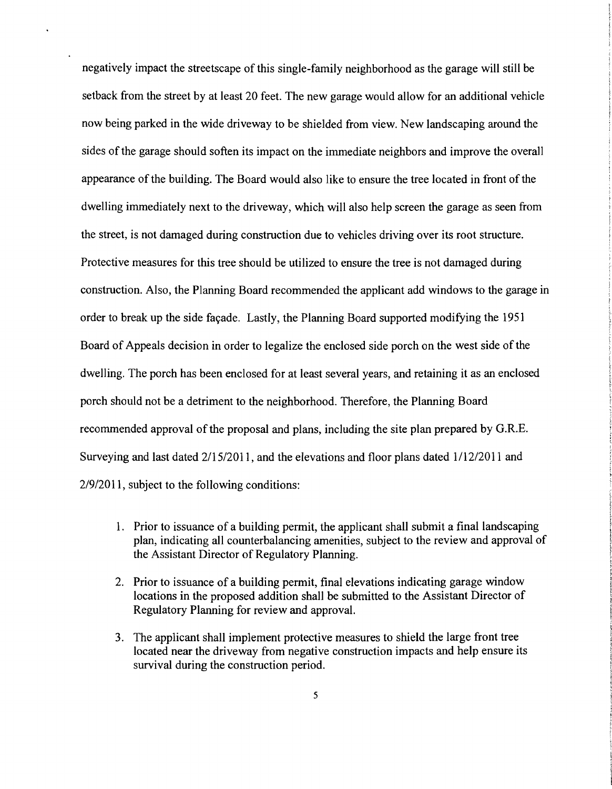negatively impact the streetscape of this single-family neighborhood as the garage will still be setback from the street by at least 20 feet. The new garage would allow for an additional vehicle now being parked in the wide driveway to be shielded from view. New landscaping around the sides of the garage should soften its impact on the immediate neighbors and improve the overall appearance of the building. The Board would also like to ensure the tree located in front of the dwelling immediately next to the driveway, which will also help screen the garage as seen from the street, is not damaged during construction due to vehicles driving over its root structure. Protective measures for this tree should be utilized to ensure the tree is not damaged during construction. Also, the Planning Board recommended the applicant add windows to the garage in order to break up the side favade. Lastly, the Planning Board supported modifying the 1951 Board of Appeals decision in order to legalize the enclosed side porch on the west side of the dwelling. The porch has been enclosed for at least several years, and retaining it as an enclosed porch should not be a detriment to the neighborhood. Therefore, the Planning Board recommended approval of the proposal and plans, including the site plan prepared by G.R.E. Surveying and last dated 2/15/2011, and the elevations and floor plans dated 1/12/2011 and 2/9/2011, subject to the following conditions:

- 1. Prior to issuance of a building permit, the applicant shall submit a final landscaping plan, indicating all counterbalancing amenities, subject to the review and approval of the Assistant Director of Regulatory Planning.
- 2. Prior to issuance of a building permit, final elevations indicating garage window locations in the proposed addition shall be submitted to the Assistant Director of Regulatory Planning for review and approvaL
- 3. The applicant shall implement protective measures to shield the large front tree located near the driveway from negative construction impacts and help ensure its survival during the construction period.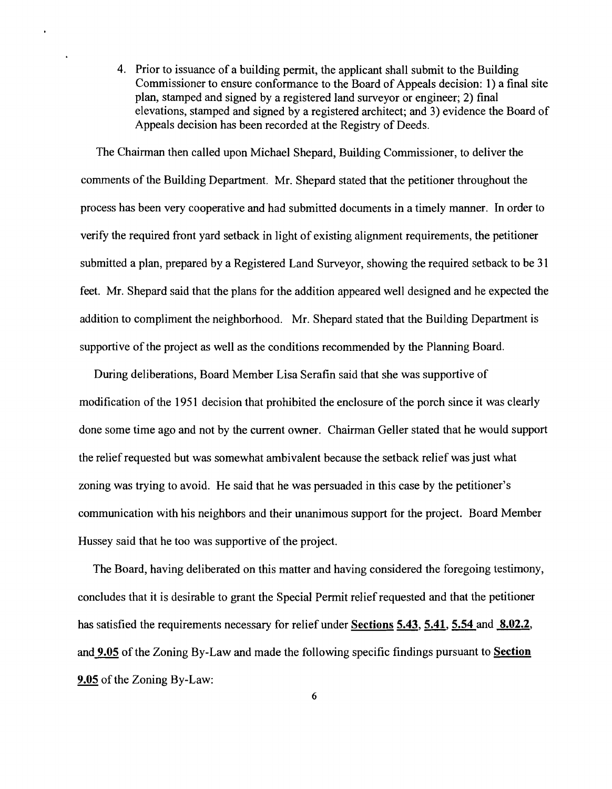4. Prior to issuance of a building permit, the applicant shall submit to the Building Commissioner to ensure conformance to the Board of Appeals decision: 1) a final site plan, stamped and signed by a registered land surveyor or engineer; 2) final elevations, stamped and signed by a registered architect; and 3) evidence the Board of Appeals decision has been recorded at the Registry of Deeds.

The Chairman then called upon Michael Shepard, Building Commissioner, to deliver the comments of the Building Department. Mr. Shepard stated that the petitioner throughout the process has been very cooperative and had submitted documents in a timely manner. In order to verify the required front yard setback in light of existing alignment requirements, the petitioner submitted a plan, prepared by a Registered Land Surveyor, showing the required setback to be 31 feet. Mr. Shepard said that the plans for the addition appeared well designed and he expected the addition to compliment the neighborhood. Mr. Shepard stated that the Building Department is supportive of the project as well as the conditions recommended by the Planning Board.

During deliberations, Board Member Lisa Serafin said that she was supportive of modification of the 1951 decision that prohibited the enclosure of the porch since it was clearly done some time ago and not by the current owner. Chairman Geller stated that he would support the relief requested but was somewhat ambivalent because the setback relief was just what zoning was trying to avoid. He said that he was persuaded in this case by the petitioner's communication with his neighbors and their unanimous support for the project. Board Member Hussey said that he too was supportive of the project.

The Board, having deliberated on this matter and having considered the foregoing testimony, concludes that it is desirable to grant the Special Permit relief requested and that the petitioner has satisfied the requirements necessary for relief under Sections 5.43, 5.41, 5.54 and 8.02.2, and 9.05 of the Zoning By-Law and made the following specific findings pursuant to Section 9.05 of the Zoning By-Law: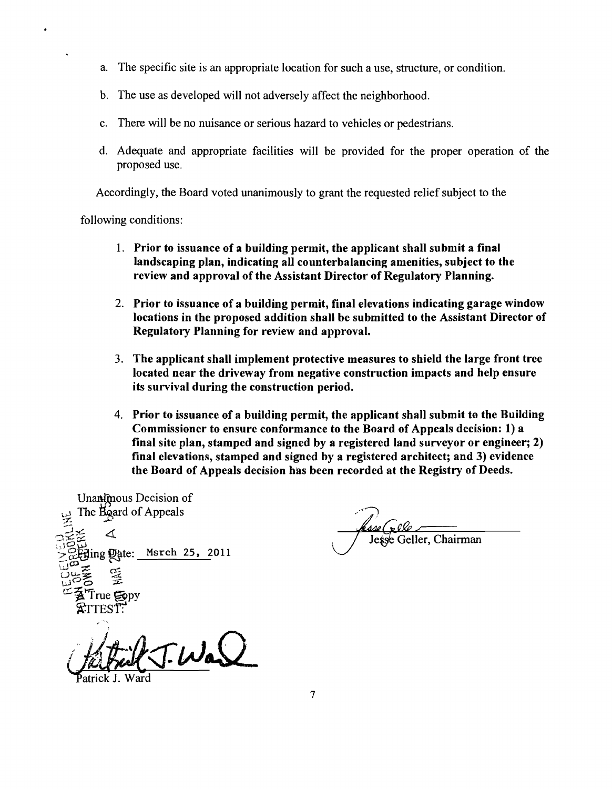- a. The specific site is an appropriate location for such a use, structure, or condition.
- b. The use as developed will not adversely affect the neighborhood.
- c. There will be no nuisance or serious hazard to vehicles or pedestrians.
- d. Adequate and appropriate facilities will be provided for the proper operation of the proposed use.

Accordingly, the Board voted unanimously to grant the requested relief subject to the

following conditions:

- 1. Prior to issuance of a building permit, the applicant shall submit a final landscaping plan, indicating all counterbalancing amenities, subject to the review and approval of the Assistant Director of Regulatory Planning.
- 2. Prior to issuance of a building permit, final elevations indicating garage window locations in the proposed addition shall be submitted to the Assistant Director of Regulatory Planning for review and approval.
- 3. The applicant shall implement protective measures to shield the large front tree located near the driveway from negative construction impacts and help ensure its survival during the construction period.
- 4. Prior to issuance of a building permit, the applicant shall submit to the Building Commissioner to ensure conformance to the Board of Appeals decision: 1) a final site plan, stamped and signed by a registered land surveyor or engineer; 2) final elevations, stamped and signed by a registered architect; and 3) evidence the Board of Appeals decision has been recorded at the Registry of Deeds.

Unanimous Decision of The Board of Appeals ∡ Msrch 25, 2011 ing **Q**ate: rue Gopy

TWar

atrick J. Ward

Jesse Geller, Chairman